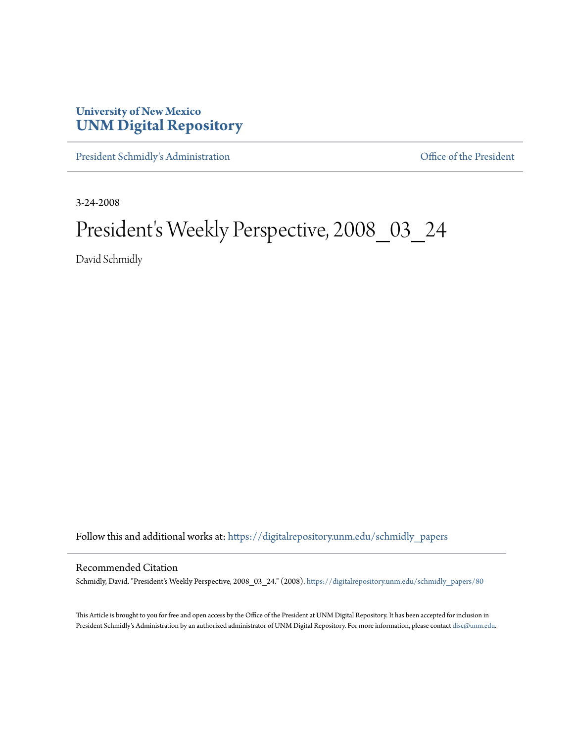## **University of New Mexico [UNM Digital Repository](https://digitalrepository.unm.edu?utm_source=digitalrepository.unm.edu%2Fschmidly_papers%2F80&utm_medium=PDF&utm_campaign=PDFCoverPages)**

[President Schmidly's Administration](https://digitalrepository.unm.edu/schmidly_papers?utm_source=digitalrepository.unm.edu%2Fschmidly_papers%2F80&utm_medium=PDF&utm_campaign=PDFCoverPages) [Office of the President](https://digitalrepository.unm.edu/ofc_president?utm_source=digitalrepository.unm.edu%2Fschmidly_papers%2F80&utm_medium=PDF&utm_campaign=PDFCoverPages)

3-24-2008

## President's Weekly Perspective, 2008\_03\_24

David Schmidly

Follow this and additional works at: [https://digitalrepository.unm.edu/schmidly\\_papers](https://digitalrepository.unm.edu/schmidly_papers?utm_source=digitalrepository.unm.edu%2Fschmidly_papers%2F80&utm_medium=PDF&utm_campaign=PDFCoverPages)

## Recommended Citation

Schmidly, David. "President's Weekly Perspective, 2008\_03\_24." (2008). [https://digitalrepository.unm.edu/schmidly\\_papers/80](https://digitalrepository.unm.edu/schmidly_papers/80?utm_source=digitalrepository.unm.edu%2Fschmidly_papers%2F80&utm_medium=PDF&utm_campaign=PDFCoverPages)

This Article is brought to you for free and open access by the Office of the President at UNM Digital Repository. It has been accepted for inclusion in President Schmidly's Administration by an authorized administrator of UNM Digital Repository. For more information, please contact [disc@unm.edu](mailto:disc@unm.edu).